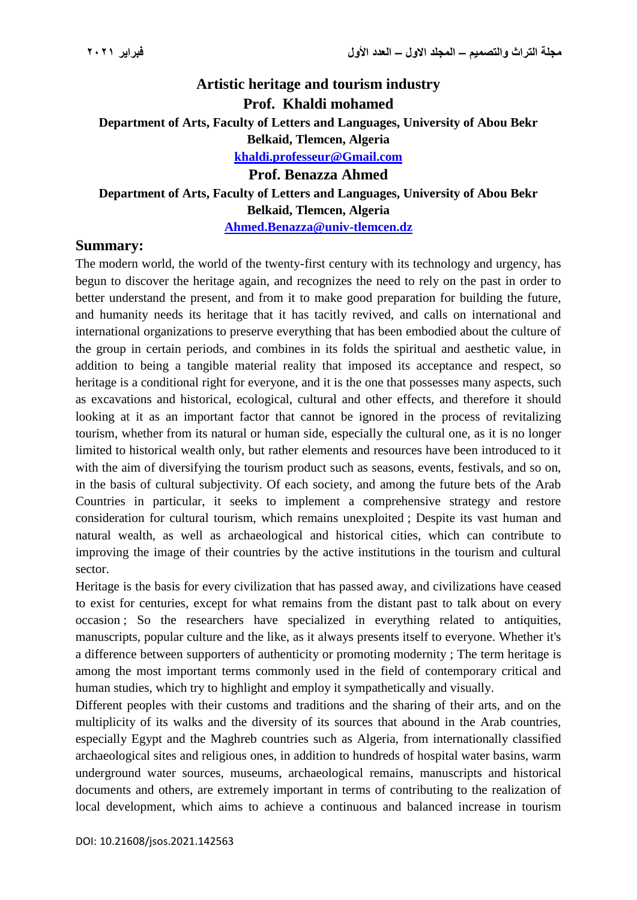## **Artistic heritage and tourism industry Prof. Khaldi mohamed Department of Arts, Faculty of Letters and Languages, University of Abou Bekr Belkaid, Tlemcen, Algeria [khaldi.professeur@Gmail.com](mailto:khaldi.professeur@Gmail.com) Prof. Benazza Ahmed Department of Arts, Faculty of Letters and Languages, University of Abou Bekr Belkaid, Tlemcen, Algeria [Ahmed.Benazza@univ-tlemcen.dz](mailto:Aminamino22@hotmail.fr)**

## **Summary:**

The modern world, the world of the twenty-first century with its technology and urgency, has begun to discover the heritage again, and recognizes the need to rely on the past in order to better understand the present, and from it to make good preparation for building the future, and humanity needs its heritage that it has tacitly revived, and calls on international and international organizations to preserve everything that has been embodied about the culture of the group in certain periods, and combines in its folds the spiritual and aesthetic value, in addition to being a tangible material reality that imposed its acceptance and respect, so heritage is a conditional right for everyone, and it is the one that possesses many aspects, such as excavations and historical, ecological, cultural and other effects, and therefore it should looking at it as an important factor that cannot be ignored in the process of revitalizing tourism, whether from its natural or human side, especially the cultural one, as it is no longer limited to historical wealth only, but rather elements and resources have been introduced to it with the aim of diversifying the tourism product such as seasons, events, festivals, and so on, in the basis of cultural subjectivity. Of each society, and among the future bets of the Arab Countries in particular, it seeks to implement a comprehensive strategy and restore consideration for cultural tourism, which remains unexploited ; Despite its vast human and natural wealth, as well as archaeological and historical cities, which can contribute to improving the image of their countries by the active institutions in the tourism and cultural sector.

Heritage is the basis for every civilization that has passed away, and civilizations have ceased to exist for centuries, except for what remains from the distant past to talk about on every occasion ; So the researchers have specialized in everything related to antiquities, manuscripts, popular culture and the like, as it always presents itself to everyone. Whether it's a difference between supporters of authenticity or promoting modernity ; The term heritage is among the most important terms commonly used in the field of contemporary critical and human studies, which try to highlight and employ it sympathetically and visually.

Different peoples with their customs and traditions and the sharing of their arts, and on the multiplicity of its walks and the diversity of its sources that abound in the Arab countries, especially Egypt and the Maghreb countries such as Algeria, from internationally classified archaeological sites and religious ones, in addition to hundreds of hospital water basins, warm underground water sources, museums, archaeological remains, manuscripts and historical documents and others, are extremely important in terms of contributing to the realization of local development, which aims to achieve a continuous and balanced increase in tourism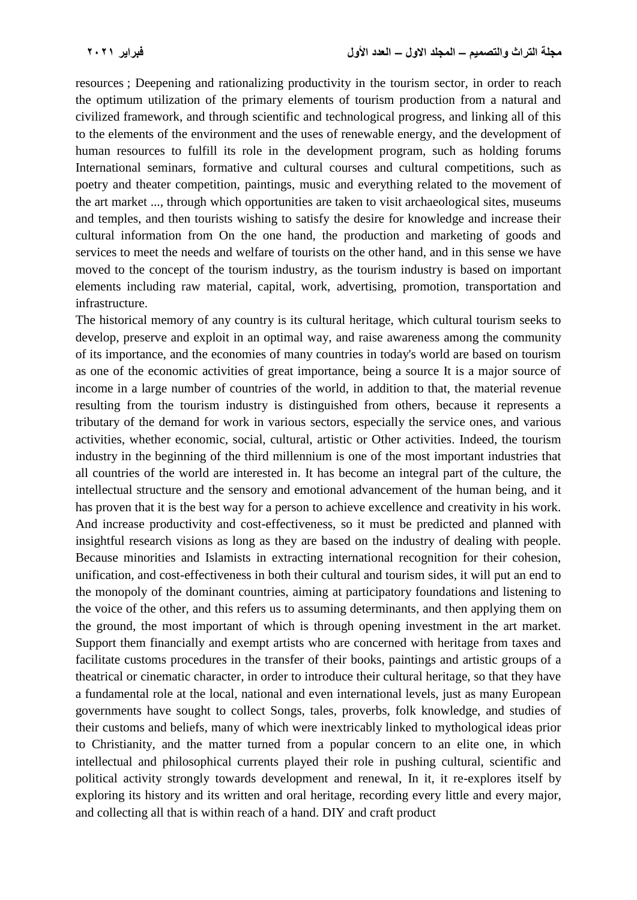resources ; Deepening and rationalizing productivity in the tourism sector, in order to reach the optimum utilization of the primary elements of tourism production from a natural and civilized framework, and through scientific and technological progress, and linking all of this to the elements of the environment and the uses of renewable energy, and the development of human resources to fulfill its role in the development program, such as holding forums International seminars, formative and cultural courses and cultural competitions, such as poetry and theater competition, paintings, music and everything related to the movement of the art market ..., through which opportunities are taken to visit archaeological sites, museums and temples, and then tourists wishing to satisfy the desire for knowledge and increase their cultural information from On the one hand, the production and marketing of goods and services to meet the needs and welfare of tourists on the other hand, and in this sense we have moved to the concept of the tourism industry, as the tourism industry is based on important elements including raw material, capital, work, advertising, promotion, transportation and infrastructure.

The historical memory of any country is its cultural heritage, which cultural tourism seeks to develop, preserve and exploit in an optimal way, and raise awareness among the community of its importance, and the economies of many countries in today's world are based on tourism as one of the economic activities of great importance, being a source It is a major source of income in a large number of countries of the world, in addition to that, the material revenue resulting from the tourism industry is distinguished from others, because it represents a tributary of the demand for work in various sectors, especially the service ones, and various activities, whether economic, social, cultural, artistic or Other activities. Indeed, the tourism industry in the beginning of the third millennium is one of the most important industries that all countries of the world are interested in. It has become an integral part of the culture, the intellectual structure and the sensory and emotional advancement of the human being, and it has proven that it is the best way for a person to achieve excellence and creativity in his work. And increase productivity and cost-effectiveness, so it must be predicted and planned with insightful research visions as long as they are based on the industry of dealing with people. Because minorities and Islamists in extracting international recognition for their cohesion, unification, and cost-effectiveness in both their cultural and tourism sides, it will put an end to the monopoly of the dominant countries, aiming at participatory foundations and listening to the voice of the other, and this refers us to assuming determinants, and then applying them on the ground, the most important of which is through opening investment in the art market. Support them financially and exempt artists who are concerned with heritage from taxes and facilitate customs procedures in the transfer of their books, paintings and artistic groups of a theatrical or cinematic character, in order to introduce their cultural heritage, so that they have a fundamental role at the local, national and even international levels, just as many European governments have sought to collect Songs, tales, proverbs, folk knowledge, and studies of their customs and beliefs, many of which were inextricably linked to mythological ideas prior to Christianity, and the matter turned from a popular concern to an elite one, in which intellectual and philosophical currents played their role in pushing cultural, scientific and political activity strongly towards development and renewal, In it, it re-explores itself by exploring its history and its written and oral heritage, recording every little and every major, and collecting all that is within reach of a hand. DIY and craft product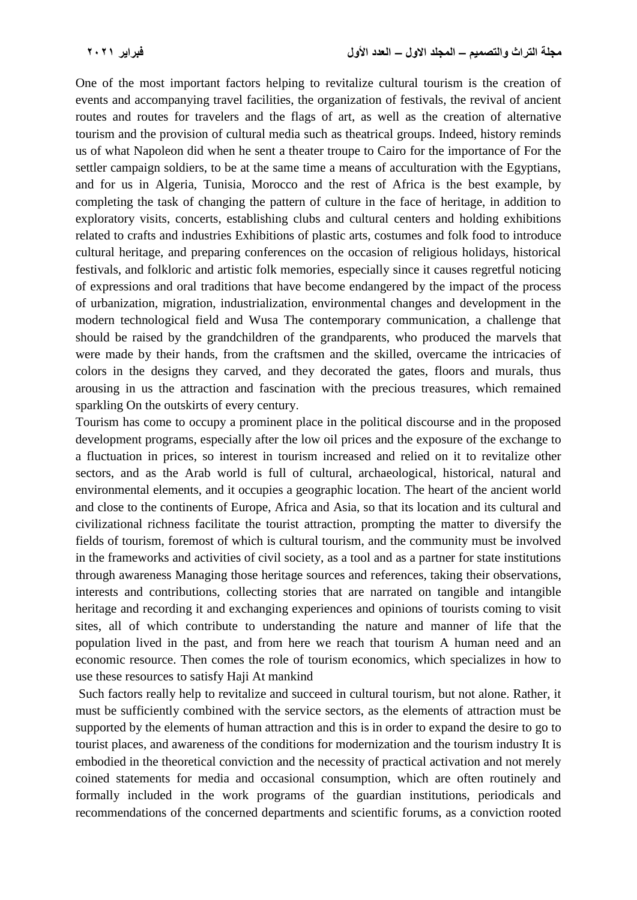One of the most important factors helping to revitalize cultural tourism is the creation of events and accompanying travel facilities, the organization of festivals, the revival of ancient routes and routes for travelers and the flags of art, as well as the creation of alternative tourism and the provision of cultural media such as theatrical groups. Indeed, history reminds us of what Napoleon did when he sent a theater troupe to Cairo for the importance of For the settler campaign soldiers, to be at the same time a means of acculturation with the Egyptians, and for us in Algeria, Tunisia, Morocco and the rest of Africa is the best example, by completing the task of changing the pattern of culture in the face of heritage, in addition to exploratory visits, concerts, establishing clubs and cultural centers and holding exhibitions related to crafts and industries Exhibitions of plastic arts, costumes and folk food to introduce cultural heritage, and preparing conferences on the occasion of religious holidays, historical festivals, and folkloric and artistic folk memories, especially since it causes regretful noticing of expressions and oral traditions that have become endangered by the impact of the process of urbanization, migration, industrialization, environmental changes and development in the modern technological field and Wusa The contemporary communication, a challenge that should be raised by the grandchildren of the grandparents, who produced the marvels that were made by their hands, from the craftsmen and the skilled, overcame the intricacies of colors in the designs they carved, and they decorated the gates, floors and murals, thus arousing in us the attraction and fascination with the precious treasures, which remained sparkling On the outskirts of every century.

Tourism has come to occupy a prominent place in the political discourse and in the proposed development programs, especially after the low oil prices and the exposure of the exchange to a fluctuation in prices, so interest in tourism increased and relied on it to revitalize other sectors, and as the Arab world is full of cultural, archaeological, historical, natural and environmental elements, and it occupies a geographic location. The heart of the ancient world and close to the continents of Europe, Africa and Asia, so that its location and its cultural and civilizational richness facilitate the tourist attraction, prompting the matter to diversify the fields of tourism, foremost of which is cultural tourism, and the community must be involved in the frameworks and activities of civil society, as a tool and as a partner for state institutions through awareness Managing those heritage sources and references, taking their observations, interests and contributions, collecting stories that are narrated on tangible and intangible heritage and recording it and exchanging experiences and opinions of tourists coming to visit sites, all of which contribute to understanding the nature and manner of life that the population lived in the past, and from here we reach that tourism A human need and an economic resource. Then comes the role of tourism economics, which specializes in how to use these resources to satisfy Haji At mankind

Such factors really help to revitalize and succeed in cultural tourism, but not alone. Rather, it must be sufficiently combined with the service sectors, as the elements of attraction must be supported by the elements of human attraction and this is in order to expand the desire to go to tourist places, and awareness of the conditions for modernization and the tourism industry It is embodied in the theoretical conviction and the necessity of practical activation and not merely coined statements for media and occasional consumption, which are often routinely and formally included in the work programs of the guardian institutions, periodicals and recommendations of the concerned departments and scientific forums, as a conviction rooted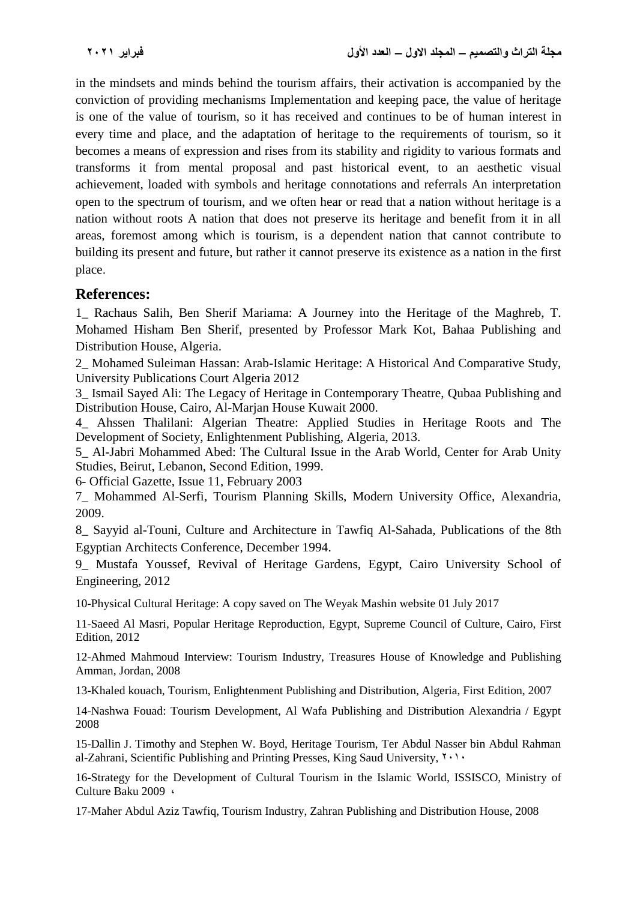in the mindsets and minds behind the tourism affairs, their activation is accompanied by the conviction of providing mechanisms Implementation and keeping pace, the value of heritage is one of the value of tourism, so it has received and continues to be of human interest in every time and place, and the adaptation of heritage to the requirements of tourism, so it becomes a means of expression and rises from its stability and rigidity to various formats and transforms it from mental proposal and past historical event, to an aesthetic visual achievement, loaded with symbols and heritage connotations and referrals An interpretation open to the spectrum of tourism, and we often hear or read that a nation without heritage is a nation without roots A nation that does not preserve its heritage and benefit from it in all areas, foremost among which is tourism, is a dependent nation that cannot contribute to building its present and future, but rather it cannot preserve its existence as a nation in the first place.

## **References:**

1\_ Rachaus Salih, Ben Sherif Mariama: A Journey into the Heritage of the Maghreb, T. Mohamed Hisham Ben Sherif, presented by Professor Mark Kot, Bahaa Publishing and Distribution House, Algeria.

2\_ Mohamed Suleiman Hassan: Arab-Islamic Heritage: A Historical And Comparative Study, University Publications Court Algeria 2012

3\_ Ismail Sayed Ali: The Legacy of Heritage in Contemporary Theatre, Qubaa Publishing and Distribution House, Cairo, Al-Marjan House Kuwait 2000.

4\_ Ahssen Thalilani: Algerian Theatre: Applied Studies in Heritage Roots and The Development of Society, Enlightenment Publishing, Algeria, 2013.

5\_ Al-Jabri Mohammed Abed: The Cultural Issue in the Arab World, Center for Arab Unity Studies, Beirut, Lebanon, Second Edition, 1999.

6- Official Gazette, Issue 11, February 2003

7\_ Mohammed Al-Serfi, Tourism Planning Skills, Modern University Office, Alexandria, 2009.

8\_ Sayyid al-Touni, Culture and Architecture in Tawfiq Al-Sahada, Publications of the 8th Egyptian Architects Conference, December 1994.

9\_ Mustafa Youssef, Revival of Heritage Gardens, Egypt, Cairo University School of Engineering, 2012

10-Physical Cultural Heritage: A copy saved on The Weyak Mashin website 01 July 2017

11-Saeed Al Masri, Popular Heritage Reproduction, Egypt, Supreme Council of Culture, Cairo, First Edition, 2012

12-Ahmed Mahmoud Interview: Tourism Industry, Treasures House of Knowledge and Publishing Amman, Jordan, 2008

13-Khaled kouach, Tourism, Enlightenment Publishing and Distribution, Algeria, First Edition, 2007

14-Nashwa Fouad: Tourism Development, Al Wafa Publishing and Distribution Alexandria / Egypt 2008

15-Dallin J. Timothy and Stephen W. Boyd, Heritage Tourism, Ter Abdul Nasser bin Abdul Rahman al-Zahrani, Scientific Publishing and Printing Presses, King Saud University,  $\gamma \rightarrow \gamma$ 

16-Strategy for the Development of Cultural Tourism in the Islamic World, ISSISCO, Ministry of Culture Baku 2009 (

17-Maher Abdul Aziz Tawfiq, Tourism Industry, Zahran Publishing and Distribution House, 2008